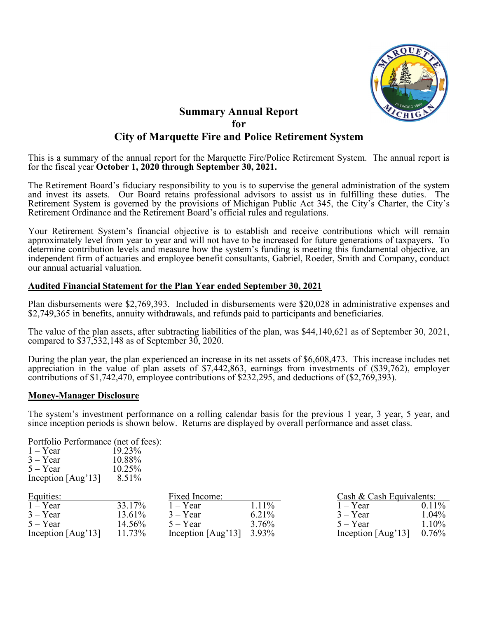

# **Summary Annual Report for City of Marquette Fire and Police Retirement System**

This is a summary of the annual report for the Marquette Fire/Police Retirement System. The annual report is for the fiscal year **October 1, 2020 through September 30, 2021.**

The Retirement Board's fiduciary responsibility to you is to supervise the general administration of the system and invest its assets. Our Board retains professional advisors to assist us in fulfilling these duties. The Retirement System is governed by the provisions of Michigan Public Act 345, the City's Charter, the City's Retirement Ordinance and the Retirement Board's official rules and regulations.

Your Retirement System's financial objective is to establish and receive contributions which will remain approximately level from year to year and will not have to be increased for future generations of taxpayers. To determine contribution levels and measure how the system's funding is meeting this fundamental objective, an independent firm of actuaries and employee benefit consultants, Gabriel, Roeder, Smith and Company, conduct our annual actuarial valuation.

### **Audited Financial Statement for the Plan Year ended September 30, 2021**

Plan disbursements were \$2,769,393. Included in disbursements were \$20,028 in administrative expenses and \$2,749,365 in benefits, annuity withdrawals, and refunds paid to participants and beneficiaries.

The value of the plan assets, after subtracting liabilities of the plan, was \$44,140,621 as of September 30, 2021, compared to \$37,532,148 as of September 30, 2020.

During the plan year, the plan experienced an increase in its net assets of \$6,608,473. This increase includes net appreciation in the value of plan assets of \$7,442,863, earnings from investments of (\$39,762), employer contributions of \$1,742,470, employee contributions of \$232,295, and deductions of (\$2,769,393).

### **Money-Manager Disclosure**

The system's investment performance on a rolling calendar basis for the previous 1 year, 3 year, 5 year, and since inception periods is shown below. Returns are displayed by overall performance and asset class.

Portfolio Performance (net of fees):

| $1 - Year$           | 19.23% |
|----------------------|--------|
| $3 - Year$           | 10.88% |
| $5 - Year$           | 10.25% |
| Inception $[Aug']$ 3 | 8.51%  |
|                      |        |

| Equities:          |        | Fixed Income:              |       | Cash & Cash Equivalents: |          |
|--------------------|--------|----------------------------|-------|--------------------------|----------|
| $1 - Year$         | 33.17% | $1 - Year$                 | 1.11% | $1 - Year$               | $0.11\%$ |
| $3 - Year$         | 13.61% | $3 - Year$                 | 6.21% | $3 - Year$               | $1.04\%$ |
| $5 - Year$         | 14.56% | $5 - Year$                 | 3.76% | $5 - Year$               | $1.10\%$ |
| Inception $[Aug']$ | 11.73% | Inception $[Aug'13]$ 3.93% |       | Inception $[Aug']$       | $0.76\%$ |